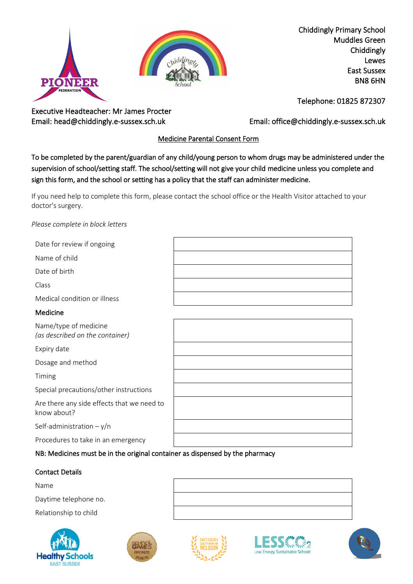



Chiddingly Primary School Muddles Green Chiddingly Lewes East Sussex BN8 6HN

Executive Headteacher: Mr James Procter

Telephone: 01825 872307

Email: head@chiddingly.e-sussex.sch.uk Email: office@chiddingly.e-sussex.sch.uk

# Medicine Parental Consent Form

To be completed by the parent/guardian of any child/young person to whom drugs may be administered under the supervision of school/setting staff. The school/setting will not give your child medicine unless you complete and sign this form, and the school or setting has a policy that the staff can administer medicine.

If you need help to complete this form, please contact the school office or the Health Visitor attached to your doctor's surgery.

### *Please complete in block letters*

| Date for review if ongoing   |  |
|------------------------------|--|
| Name of child                |  |
| Date of birth                |  |
| Class                        |  |
| Medical condition or illness |  |
| Medicine                     |  |
|                              |  |

| Name/type of medicine<br>(as described on the container)  |  |
|-----------------------------------------------------------|--|
| Expiry date                                               |  |
| Dosage and method                                         |  |
| Timing                                                    |  |
| Special precautions/other instructions                    |  |
| Are there any side effects that we need to<br>know about? |  |
| Self-administration $-y/n$                                |  |
| Procedures to take in an emergency                        |  |

## NB: Medicines must be in the original container as dispensed by the pharmacy

### Contact Details

Name

Daytime telephone no.

Relationship to child